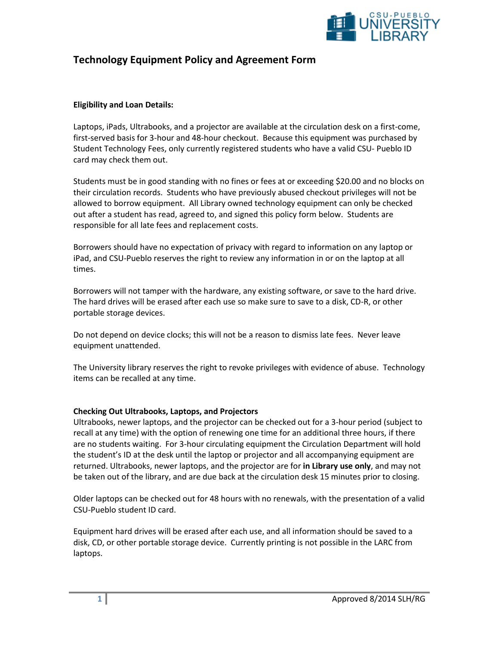

# **Technology Equipment Policy and Agreement Form**

## **Eligibility and Loan Details:**

Laptops, iPads, Ultrabooks, and a projector are available at the circulation desk on a first-come, first-served basis for 3-hour and 48-hour checkout. Because this equipment was purchased by Student Technology Fees, only currently registered students who have a valid CSU- Pueblo ID card may check them out.

Students must be in good standing with no fines or fees at or exceeding \$20.00 and no blocks on their circulation records. Students who have previously abused checkout privileges will not be allowed to borrow equipment. All Library owned technology equipment can only be checked out after a student has read, agreed to, and signed this policy form below. Students are responsible for all late fees and replacement costs.

Borrowers should have no expectation of privacy with regard to information on any laptop or iPad, and CSU-Pueblo reserves the right to review any information in or on the laptop at all times.

Borrowers will not tamper with the hardware, any existing software, or save to the hard drive. The hard drives will be erased after each use so make sure to save to a disk, CD-R, or other portable storage devices.

Do not depend on device clocks; this will not be a reason to dismiss late fees. Never leave equipment unattended.

The University library reserves the right to revoke privileges with evidence of abuse. Technology items can be recalled at any time.

#### **Checking Out Ultrabooks, Laptops, and Projectors**

Ultrabooks, newer laptops, and the projector can be checked out for a 3-hour period (subject to recall at any time) with the option of renewing one time for an additional three hours, if there are no students waiting. For 3-hour circulating equipment the Circulation Department will hold the student's ID at the desk until the laptop or projector and all accompanying equipment are returned. Ultrabooks, newer laptops, and the projector are for **in Library use only**, and may not be taken out of the library, and are due back at the circulation desk 15 minutes prior to closing.

Older laptops can be checked out for 48 hours with no renewals, with the presentation of a valid CSU-Pueblo student ID card.

Equipment hard drives will be erased after each use, and all information should be saved to a disk, CD, or other portable storage device. Currently printing is not possible in the LARC from laptops.